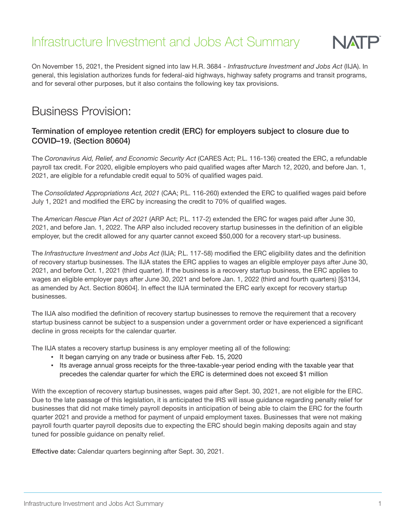# Infrastructure Investment and Jobs Act Summary



On November 15, 2021, the President signed into law H.R. 3684 - *Infrastructure Investment and Jobs Act* (IIJA). In general, this legislation authorizes funds for federal-aid highways, highway safety programs and transit programs, and for several other purposes, but it also contains the following key tax provisions.

### Business Provision:

#### Termination of employee retention credit (ERC) for employers subject to closure due to COVID–19. (Section 80604)

The *Coronavirus Aid, Relief, and Economic Security Act* (CARES Act; P.L. 116-136) created the ERC, a refundable payroll tax credit. For 2020, eligible employers who paid qualified wages after March 12, 2020, and before Jan. 1, 2021, are eligible for a refundable credit equal to 50% of qualified wages paid.

The *Consolidated Appropriations Act, 2021* (CAA; P.L. 116-260) extended the ERC to qualified wages paid before July 1, 2021 and modified the ERC by increasing the credit to 70% of qualified wages.

The *American Rescue Plan Act of 2021* (ARP Act; P.L. 117-2) extended the ERC for wages paid after June 30, 2021, and before Jan. 1, 2022. The ARP also included recovery startup businesses in the definition of an eligible employer, but the credit allowed for any quarter cannot exceed \$50,000 for a recovery start-up business.

The *Infrastructure Investment and Jobs Act* (IIJA; P.L. 117-58) modified the ERC eligibility dates and the definition of recovery startup businesses. The IIJA states the ERC applies to wages an eligible employer pays after June 30, 2021, and before Oct. 1, 2021 (third quarter). If the business is a recovery startup business, the ERC applies to wages an eligible employer pays after June 30, 2021 and before Jan. 1, 2022 (third and fourth quarters) [§3134, as amended by Act. Section 80604]. In effect the IIJA terminated the ERC early except for recovery startup businesses.

The IIJA also modified the definition of recovery startup businesses to remove the requirement that a recovery startup business cannot be subject to a suspension under a government order or have experienced a significant decline in gross receipts for the calendar quarter.

The IIJA states a recovery startup business is any employer meeting all of the following:

- It began carrying on any trade or business after Feb. 15, 2020
- Its average annual gross receipts for the three-taxable-year period ending with the taxable year that precedes the calendar quarter for which the ERC is determined does not exceed \$1 million

With the exception of recovery startup businesses, wages paid after Sept. 30, 2021, are not eligible for the ERC. Due to the late passage of this legislation, it is anticipated the IRS will issue guidance regarding penalty relief for businesses that did not make timely payroll deposits in anticipation of being able to claim the ERC for the fourth quarter 2021 and provide a method for payment of unpaid employment taxes. Businesses that were not making payroll fourth quarter payroll deposits due to expecting the ERC should begin making deposits again and stay tuned for possible guidance on penalty relief.

Effective date: Calendar quarters beginning after Sept. 30, 2021.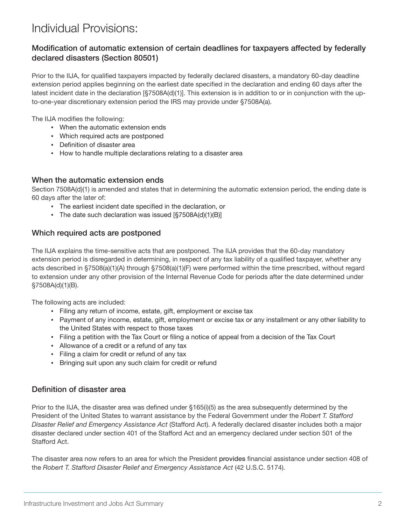## Individual Provisions:

#### Modification of automatic extension of certain deadlines for taxpayers affected by federally declared disasters (Section 80501)

Prior to the IIJA, for qualified taxpayers impacted by federally declared disasters, a mandatory 60-day deadline extension period applies beginning on the earliest date specified in the declaration and ending 60 days after the latest incident date in the declaration [§7508A(d)(1)]. This extension is in addition to or in conjunction with the upto-one-year discretionary extension period the IRS may provide under §7508A(a).

The IIJA modifies the following:

- When the automatic extension ends
- Which required acts are postponed
- Definition of disaster area
- How to handle multiple declarations relating to a disaster area

#### When the automatic extension ends

Section 7508A(d)(1) is amended and states that in determining the automatic extension period, the ending date is 60 days after the later of:

- The earliest incident date specified in the declaration, or
- The date such declaration was issued [§7508A(d)(1)(B)]

#### Which required acts are postponed

The IIJA explains the time-sensitive acts that are postponed. The IIJA provides that the 60-day mandatory extension period is disregarded in determining, in respect of any tax liability of a qualified taxpayer, whether any acts described in §7508(a)(1)(A) through §7508(a)(1)(F) were performed within the time prescribed, without regard to extension under any other provision of the Internal Revenue Code for periods after the date determined under §7508A(d)(1)(B).

The following acts are included:

- Filing any return of income, estate, gift, employment or excise tax
- Payment of any income, estate, gift, employment or excise tax or any installment or any other liability to the United States with respect to those taxes
- Filing a petition with the Tax Court or filing a notice of appeal from a decision of the Tax Court
- Allowance of a credit or a refund of any tax
- Filing a claim for credit or refund of any tax
- Bringing suit upon any such claim for credit or refund

#### Definition of disaster area

Prior to the IIJA, the disaster area was defined under §165(i)(5) as the area subsequently determined by the President of the United States to warrant assistance by the Federal Government under the *Robert T. Stafford Disaster Relief and Emergency Assistance Act* (Stafford Act). A federally declared disaster includes both a major disaster declared under section 401 of the Stafford Act and an emergency declared under section 501 of the Stafford Act.

The disaster area now refers to an area for which the President provides financial assistance under section 408 of the *Robert T. Stafford Disaster Relief and Emergency Assistance Act (42 U.S.C. 5174).*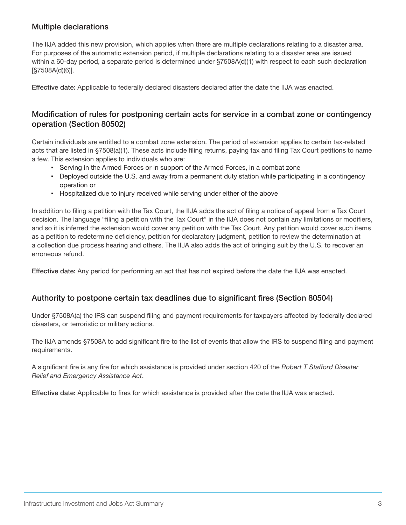#### Multiple declarations

The IIJA added this new provision, which applies when there are multiple declarations relating to a disaster area. For purposes of the automatic extension period, if multiple declarations relating to a disaster area are issued within a 60-day period, a separate period is determined under §7508A(d)(1) with respect to each such declaration [§7508A(d)(6)].

Effective date: Applicable to federally declared disasters declared after the date the IIJA was enacted.

#### Modification of rules for postponing certain acts for service in a combat zone or contingency operation (Section 80502)

Certain individuals are entitled to a combat zone extension. The period of extension applies to certain tax-related acts that are listed in §7508(a)(1). These acts include filing returns, paying tax and filing Tax Court petitions to name a few. This extension applies to individuals who are:

- Serving in the Armed Forces or in support of the Armed Forces, in a combat zone
- Deployed outside the U.S. and away from a permanent duty station while participating in a contingency operation or
- **Hospitalized due to injury received while serving under either of the above**

In addition to filing a petition with the Tax Court, the IIJA adds the act of filing a notice of appeal from a Tax Court decision. The language "filing a petition with the Tax Court" in the IIJA does not contain any limitations or modifiers, and so it is inferred the extension would cover any petition with the Tax Court. Any petition would cover such items as a petition to redetermine deficiency, petition for declaratory judgment, petition to review the determination at a collection due process hearing and others. The IIJA also adds the act of bringing suit by the U.S. to recover an erroneous refund.

Effective date: Any period for performing an act that has not expired before the date the IIJA was enacted.

#### Authority to postpone certain tax deadlines due to significant fires (Section 80504)

Under §7508A(a) the IRS can suspend filing and payment requirements for taxpayers affected by federally declared disasters, or terroristic or military actions.

The IIJA amends §7508A to add significant fire to the list of events that allow the IRS to suspend filing and payment requirements.

A significant fire is any fire for which assistance is provided under section 420 of the *Robert T Stafford Disaster Relief and Emergency Assistance Act*.

Effective date: Applicable to fires for which assistance is provided after the date the IIJA was enacted.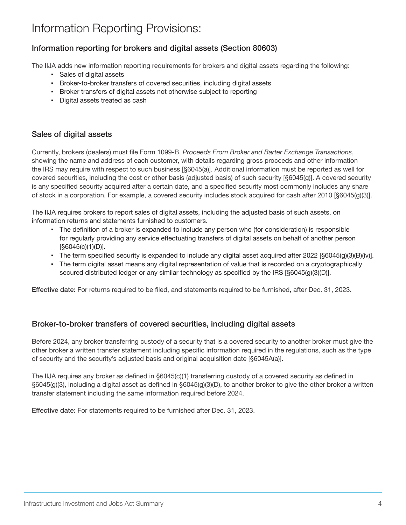## Information Reporting Provisions:

#### Information reporting for brokers and digital assets (Section 80603)

The IIJA adds new information reporting requirements for brokers and digital assets regarding the following:

- Sales of digital assets
- Broker-to-broker transfers of covered securities, including digital assets
- Broker transfers of digital assets not otherwise subject to reporting
- Digital assets treated as cash

#### Sales of digital assets

Currently, brokers (dealers) must file Form 1099-B, *Proceeds From Broker and Barter Exchange Transactions*, showing the name and address of each customer, with details regarding gross proceeds and other information the IRS may require with respect to such business [§6045(a)]. Additional information must be reported as well for covered securities, including the cost or other basis (adjusted basis) of such security [§6045(g)]. A covered security is any specified security acquired after a certain date, and a specified security most commonly includes any share of stock in a corporation. For example, a covered security includes stock acquired for cash after 2010 [§6045(g)(3)].

The IIJA requires brokers to report sales of digital assets, including the adjusted basis of such assets, on information returns and statements furnished to customers.

- The definition of a broker is expanded to include any person who (for consideration) is responsible for regularly providing any service effectuating transfers of digital assets on behalf of another person [§6045(c)(1)(D)].
- **•** The term specified security is expanded to include any digital asset acquired after 2022  $[\text{\{§6045(g)(3)(B)(iv)}]$ .
- The term digital asset means any digital representation of value that is recorded on a cryptographically secured distributed ledger or any similar technology as specified by the IRS [§6045(g)(3)(D)].

Effective date: For returns required to be filed, and statements required to be furnished, after Dec. 31, 2023.

#### Broker-to-broker transfers of covered securities, including digital assets

Before 2024, any broker transferring custody of a security that is a covered security to another broker must give the other broker a written transfer statement including specific information required in the regulations, such as the type of security and the security's adjusted basis and original acquisition date [§6045A(a)].

The IIJA requires any broker as defined in §6045(c)(1) transferring custody of a covered security as defined in §6045(g)(3), including a digital asset as defined in §6045(g)(3)(D), to another broker to give the other broker a written transfer statement including the same information required before 2024.

Effective date: For statements required to be furnished after Dec. 31, 2023.